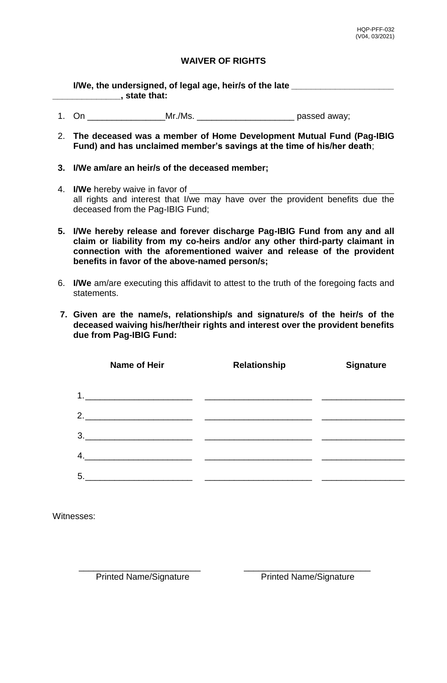## **WAIVER OF RIGHTS**

**I/We, the undersigned, of legal age, heir/s of the late** *\_\_\_\_\_\_\_\_\_\_\_\_\_\_\_\_\_\_\_\_\_* **\_\_\_\_\_\_\_\_\_\_\_\_\_\_, state that:**

- 1. On \_\_\_\_\_\_\_\_\_\_\_\_\_\_\_\_\_\_\_\_\_\_\_\_\_Mr./Ms. \_\_\_\_\_\_\_\_\_\_\_\_\_\_\_\_\_\_\_\_\_\_\_\_\_\_\_\_\_\_\_\_\_\_\_passed away;
- 2. **The deceased was a member of Home Development Mutual Fund (Pag-IBIG Fund) and has unclaimed member's savings at the time of his/her death**;
- **3. I/We am/are an heir/s of the deceased member;**
- 4. **I/We** hereby waive in favor of \_\_\_\_\_\_\_\_\_\_\_\_\_\_\_\_\_\_\_\_\_\_\_\_\_\_\_\_\_\_\_\_\_\_\_\_\_\_\_\_\_\_ all rights and interest that I/we may have over the provident benefits due the deceased from the Pag-IBIG Fund;
- **5. I/We hereby release and forever discharge Pag-IBIG Fund from any and all claim or liability from my co-heirs and/or any other third-party claimant in connection with the aforementioned waiver and release of the provident benefits in favor of the above-named person/s;**
- 6. **I/We** am/are executing this affidavit to attest to the truth of the foregoing facts and statements.
- **7. Given are the name/s, relationship/s and signature/s of the heir/s of the deceased waiving his/her/their rights and interest over the provident benefits due from Pag-IBIG Fund:**

| <b>Name of Heir</b>                                                                                                          | <b>Relationship</b> | <b>Signature</b> |
|------------------------------------------------------------------------------------------------------------------------------|---------------------|------------------|
| 1.                                                                                                                           |                     |                  |
|                                                                                                                              |                     |                  |
| 3.<br><u> 1980 - Johann John Harry Harry Harry Harry Harry Harry Harry Harry Harry Harry Harry Harry Harry Harry Harry H</u> |                     |                  |
| 4.                                                                                                                           |                     |                  |
| 5.<br><u> 1989 - Johann Harry Harry Harry Harry Harry Harry Harry Harry Harry Harry Harry Harry Harry Harry Harry Harry</u>  |                     |                  |

Witnesses:

\_\_\_\_\_\_\_\_\_\_\_\_\_\_\_\_\_\_\_\_\_\_\_\_\_ \_\_\_\_\_\_\_\_\_\_\_\_\_\_\_\_\_\_\_\_\_\_\_\_\_\_ Printed Name/Signature Printed Name/Signature